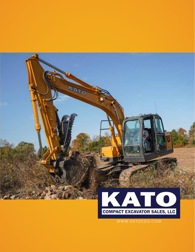

WWW.KATOCES.COM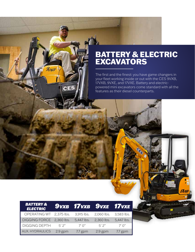#### BATTERY & ELECTRIC EXCAVATORS

The first and the finest: you have game changers in your fleet working inside or out with the CES 9VXB, 17VXB, 9VXE, and 17VXE. Battery and electricpowered mini excavators come standard with all the features as their diesel counterparts.

380

| <b>BATTERY &amp;</b><br><b>ELECTRIC</b> |           | <b>9vxb 17vxb 9vxe 17vxe</b> |            |                  |
|-----------------------------------------|-----------|------------------------------|------------|------------------|
| OPERATING WT 2,375 lbs.                 |           | 3,915 lbs.                   | 2,060 lbs. | 3,583 lbs.       |
| DIGGING FORCE 2,360 lbs.                |           | 5,447 lbs.                   | 2,360 lbs. | 5,447 lbs.       |
| <b>DIGGING DEPTH</b>                    | 5'2''     | $7'$ O"                      | 5'2''      | $7'$ $\bigcap$ " |
| AUX. HYDRAULICS                         | $2.9$ gpm | $7.7$ gpm                    | $2.9$ gpm  | $7.7$ gpm        |

Ans

CES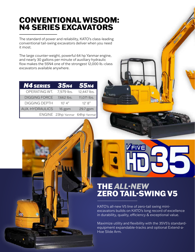#### CONVENTIONAL WISDOM: N4 SERIES EXCAVATORS

The standard of power and reliability, KATO's class-leading conventional tail-swing excavators deliver when you need it most.

The large counter-weight, powerful 64 hp Yanmar engine, and nearly 30 gallons per minute of auxiliary hydraulic flow makes the 55N4 one of the strongest 12,000 lb.-class excavators available anywhere.

| <b>N4 SERIES</b>       | <b>35N4</b>                    | <b>55N4</b> |
|------------------------|--------------------------------|-------------|
| OPERATING WT.          | 7,979 lbs.                     | 12,447 lbs. |
| <b>DIGGING FORCE</b>   | 7,662 lbs.                     | 11,071 lbs. |
| <b>DIGGING DEPTH</b>   | 10'4''                         | 12' 8''     |
| <b>AUX. HYDRAULICS</b> | 16 gpm                         | 29.7 gpm    |
|                        | ENGINE 23hp Yanmar 64hp Yanmar |             |

RUNTIN

 $<sub>050</sub>$ </sub>

## THE *ALL-NEW* ZERO TAIL-SWING V5

VFIVE

KATO

KATO's all-new V5 line of zero-tail swing miniexcavators builds on KATO's long record of excellence in durability, quality, efficiency & exceptional value.

Maximize utility and flexibility with the 35V5's standardequipment expandable-tracks and optional Extend-a-Hoe Slide Arm.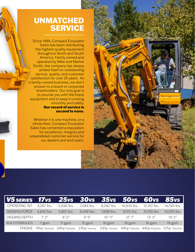#### UNMATCHED **SERVICE**

Since 1994, Compact Excavator Sales has been distributing the highest quality equipment throughout North and South America. Family owned and operated by Mike and Markie Smith, the company has always prided itself on outstanding service, quality, and customer satisfaction for over 25 years. As a family-owned business, we don't answer to a board or corporate shareholders. Our only goal is to provide you with the finest equipment and to keep it running smoothly and safely. Our record of service is second to none.

Whether it is one machine, or a whole fleet, Compact Excavator Sales has cemented a reputation for excellence, integrity and unparalleled customer service for our dealers and end users.



| V5 SERIES 17v5 25v5 30v5 35v5 50v5 60v5 85v5 |            |                         |             |             |             |             |             |
|----------------------------------------------|------------|-------------------------|-------------|-------------|-------------|-------------|-------------|
| OPERATING WT.                                | 4,261 lbs. | 5,938 lbs.              | 7,084 lbs.  | 8,082 lbs.  | 10,830 lbs. | 12,351 lbs. | 19,595 lbs. |
| <b>DIGGING FORCE</b>                         | 4,842 lbs. | 5,801 lbs.              | 6,548 lbs.  | 7,688 lbs.  | 9,100 lbs.  | 10,165 lbs. | 14,200 lbs. |
| <b>DIGGING DEPTH</b>                         | 7' 2"      | $R' \cap''$             | Q'Q''       | 10'11''     | 12'7''      | 13'3''      | 14'2''      |
| <b>AUX. HYDRAULICS</b>                       | 7 gpm      | 11 gpm                  | 15 gpm      | 16 gpm      | 16 gpm      | 16 gpm      | 19 gpm      |
| <b>ENGINE</b>                                |            | 14hp Yanmar 24hp Kubota | 23hp Yanmar | 23hp Yanmar | 44hp Kubota | 44hp Kubota | 57hp Yanmar |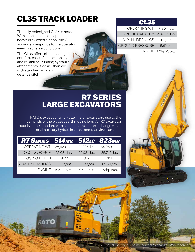### CL35 TRACK LOADER

The fully redesigned CL35 is here. With a rock-solid concept and heavy-duty construction, the CL35 accurately responds to the operator, even in adverse conditions.

The CL35 offers class-leading comfort, ease of use, durability and reliability. Running hydraulic attachments is easier than ever with standard auxiliary detent switch.

| OPERATING WT.                  | 7,804 lbs.         |
|--------------------------------|--------------------|
| 50% TIP CAPACITY 2, 458.2 lbs. |                    |
| <b>AUX. HYDRAULICS</b>         | 17 gpm             |
| <b>GROUND PRESSURE</b>         | 5.62 psi           |
|                                | ENGINE 62hp Kubota |



#### R7 SERIES LARGE EXCAVATORS

KATO's exceptional full-size line of excavators rise to the demands of the biggest earthmoving jobs. All R7 excavator models come standard with cab heat, a/c, pattern change valve, dual auxiliary hydraulics, side and rear view cameras.

| <b>R7 SERIES 514MR 512LC 823MR</b> |             |             |             |
|------------------------------------|-------------|-------------|-------------|
| OPERATING WT. 28,429 lbs.          |             | 31,085 lbs. | 54,050 lbs. |
| <b>DIGGING FORCE</b>               | 22,031 lbs. | 22,031 lbs. | 35,745 lbs. |
| <b>DIGGING DEPTH</b>               | 18'4''      | $18'$ $2"$  | 21'1''      |
| <b>AUX. HYDRAULICS</b>             | 33.3 gpm    | 33.3 gpm    | 65.5 gpm    |
| <b>ENGINE</b>                      | 105hp Isuzu | 105hp Isuzu | 172hp Isuzu |

**Minimum** 

**ATO** 

**KATO**